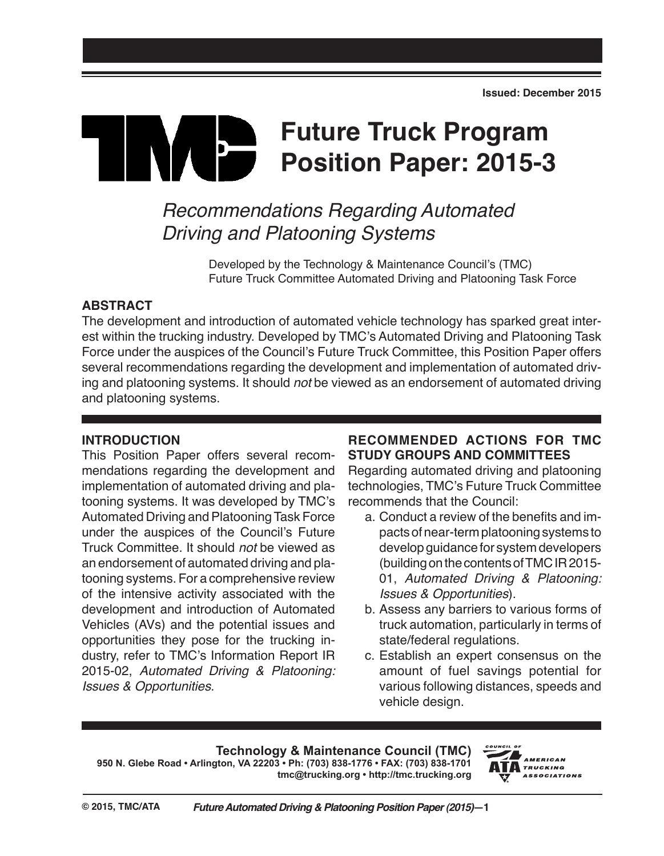# **Future Truck Program**  IN E **Position Paper: 2015-3**

# *Recommendations Regarding Automated Driving and Platooning Systems*

Developed by the Technology & Maintenance Council's (TMC) Future Truck Committee Automated Driving and Platooning Task Force

## **ABSTRACT**

The development and introduction of automated vehicle technology has sparked great interest within the trucking industry. Developed by TMC's Automated Driving and Platooning Task Force under the auspices of the Council's Future Truck Committee, this Position Paper offers several recommendations regarding the development and implementation of automated driving and platooning systems. It should *not* be viewed as an endorsement of automated driving and platooning systems.

### **INTRODUCTION**

This Position Paper offers several recommendations regarding the development and implementation of automated driving and platooning systems. It was developed by TMC's Automated Driving and Platooning Task Force under the auspices of the Council's Future Truck Committee. It should *not* be viewed as an endorsement of automated driving and platooning systems. For a comprehensive review of the intensive activity associated with the development and introduction of Automated Vehicles (AVs) and the potential issues and opportunities they pose for the trucking industry, refer to TMC's Information Report IR 2015-02, *Automated Driving & Platooning: Issues & Opportunities*.

# **RECOMMENDED ACTIONS FOR TMC STUDY GROUPS AND COMMITTEES**

Regarding automated driving and platooning technologies, TMC's Future Truck Committee recommends that the Council:

- a. Conduct a review of the benefits and impacts of near-term platooning systems to develop guidance for system developers (building on the contents of TMC IR 2015- 01, *Automated Driving & Platooning: Issues & Opportunities*).
- b. Assess any barriers to various forms of truck automation, particularly in terms of state/federal regulations.
- c. Establish an expert consensus on the amount of fuel savings potential for various following distances, speeds and vehicle design.

### **Technology & Maintenance Council (TMC)**

**950 N. Glebe Road • Arlington, VA 22203 • Ph: (703) 838-1776 • FAX: (703) 838-1701 tmc@trucking.org • http://tmc.trucking.org**

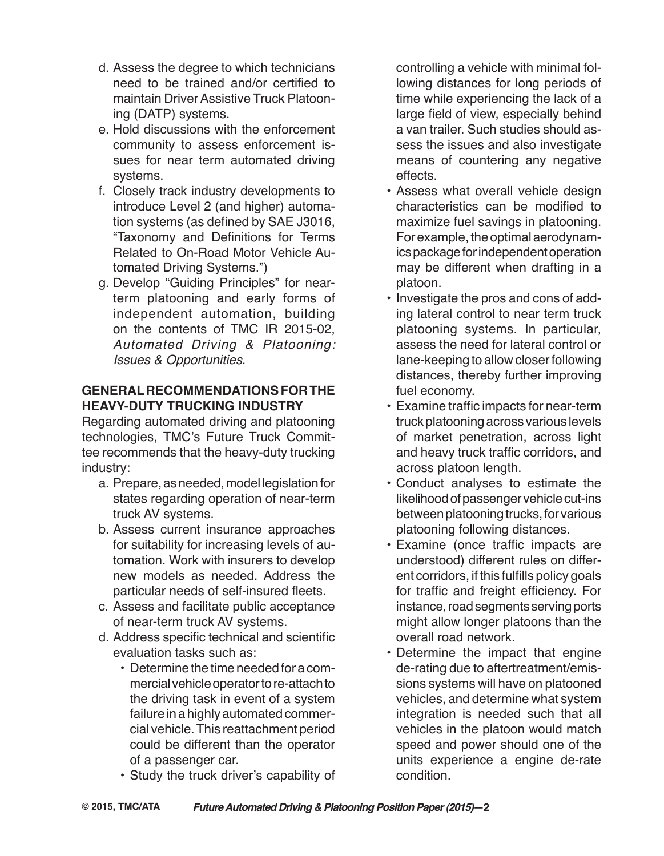- d. Assess the degree to which technicians need to be trained and/or certified to maintain Driver Assistive Truck Platooning (DATP) systems.
- e. Hold discussions with the enforcement community to assess enforcement issues for near term automated driving systems.
- f. Closely track industry developments to introduce Level 2 (and higher) automation systems (as defined by SAE J3016, "Taxonomy and Definitions for Terms Related to On-Road Motor Vehicle Automated Driving Systems.")
- g. Develop "Guiding Principles" for nearterm platooning and early forms of independent automation, building on the contents of TMC IR 2015-02, *Automated Driving & Platooning: Issues & Opportunities*.

# **General Recommendationsforthe Heavy-DUTY Trucking Industry**

Regarding automated driving and platooning technologies, TMC's Future Truck Committee recommends that the heavy-duty trucking industry:

- a. Prepare, as needed, model legislation for states regarding operation of near-term truck AV systems.
- b. Assess current insurance approaches for suitability for increasing levels of automation. Work with insurers to develop new models as needed. Address the particular needs of self-insured fleets.
- c. Assess and facilitate public acceptance of near-term truck AV systems.
- d. Address specific technical and scientific evaluation tasks such as:
	- Determine the time needed for a commercial vehicle operator to re-attach to the driving task in event of a system failure in a highly automated commercial vehicle. This reattachment period could be different than the operator of a passenger car.
	- • Study the truck driver's capability of

controlling a vehicle with minimal following distances for long periods of time while experiencing the lack of a large field of view, especially behind a van trailer. Such studies should assess the issues and also investigate means of countering any negative effects.

- Assess what overall vehicle design characteristics can be modified to maximize fuel savings in platooning. For example, the optimal aerodynamics package for independent operation may be different when drafting in a platoon.
- Investigate the pros and cons of adding lateral control to near term truck platooning systems. In particular, assess the need for lateral control or lane-keeping to allow closer following distances, thereby further improving fuel economy.
- • Examine traffic impacts for near-term truck platooning across various levels of market penetration, across light and heavy truck traffic corridors, and across platoon length.
- • Conduct analyses to estimate the likelihood of passenger vehicle cut-ins between platooning trucks, for various platooning following distances.
- • Examine (once traffic impacts are understood) different rules on different corridors, if this fulfills policy goals for traffic and freight efficiency. For instance, road segments serving ports might allow longer platoons than the overall road network.
- Determine the impact that engine de-rating due to aftertreatment/emissions systems will have on platooned vehicles, and determine what system integration is needed such that all vehicles in the platoon would match speed and power should one of the units experience a engine de-rate condition.